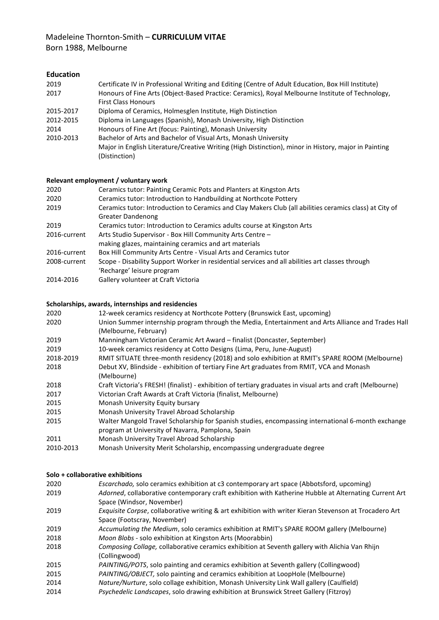# Madeleine Thornton-Smith – **CURRICULUM VITAE** Born 1988, Melbourne

## **Education**

| Certificate IV in Professional Writing and Editing (Centre of Adult Education, Box Hill Institute)   |
|------------------------------------------------------------------------------------------------------|
| Honours of Fine Arts (Object-Based Practice: Ceramics), Royal Melbourne Institute of Technology,     |
| <b>First Class Honours</b>                                                                           |
| Diploma of Ceramics, Holmesglen Institute, High Distinction                                          |
| Diploma in Languages (Spanish), Monash University, High Distinction                                  |
| Honours of Fine Art (focus: Painting), Monash University                                             |
| Bachelor of Arts and Bachelor of Visual Arts, Monash University                                      |
| Major in English Literature/Creative Writing (High Distinction), minor in History, major in Painting |
| (Distinction)                                                                                        |
|                                                                                                      |

## **Relevant employment / voluntary work**

| Ceramics tutor: Painting Ceramic Pots and Planters at Kingston Arts                                                          |
|------------------------------------------------------------------------------------------------------------------------------|
| Ceramics tutor: Introduction to Handbuilding at Northcote Pottery                                                            |
| Ceramics tutor: Introduction to Ceramics and Clay Makers Club (all abilities ceramics class) at City of<br>Greater Dandenong |
| Ceramics tutor: Introduction to Ceramics adults course at Kingston Arts                                                      |
| Arts Studio Supervisor - Box Hill Community Arts Centre -                                                                    |
| making glazes, maintaining ceramics and art materials                                                                        |
| Box Hill Community Arts Centre - Visual Arts and Ceramics tutor                                                              |
| Scope - Disability Support Worker in residential services and all abilities art classes through                              |
| 'Recharge' leisure program                                                                                                   |
| Gallery volunteer at Craft Victoria                                                                                          |
|                                                                                                                              |

### **Scholarships, awards, internships and residencies**

| 2020      | 12-week ceramics residency at Northcote Pottery (Brunswick East, upcoming)                                                  |
|-----------|-----------------------------------------------------------------------------------------------------------------------------|
| 2020      | Union Summer internship program through the Media, Entertainment and Arts Alliance and Trades Hall<br>(Melbourne, February) |
| 2019      | Manningham Victorian Ceramic Art Award – finalist (Doncaster, September)                                                    |
| 2019      | 10-week ceramics residency at Cotto Designs (Lima, Peru, June-August)                                                       |
| 2018-2019 | RMIT SITUATE three-month residency (2018) and solo exhibition at RMIT's SPARE ROOM (Melbourne)                              |
| 2018      | Debut XV, Blindside - exhibition of tertiary Fine Art graduates from RMIT, VCA and Monash                                   |
|           | (Melbourne)                                                                                                                 |
| 2018      | Craft Victoria's FRESH! (finalist) - exhibition of tertiary graduates in visual arts and craft (Melbourne)                  |
| 2017      | Victorian Craft Awards at Craft Victoria (finalist, Melbourne)                                                              |
| 2015      | Monash University Equity bursary                                                                                            |
| 2015      | Monash University Travel Abroad Scholarship                                                                                 |
| 2015      | Walter Mangold Travel Scholarship for Spanish studies, encompassing international 6-month exchange                          |
|           | program at University of Navarra, Pamplona, Spain                                                                           |
| 2011      | Monash University Travel Abroad Scholarship                                                                                 |
| 2010-2013 | Monash University Merit Scholarship, encompassing undergraduate degree                                                      |

#### **Solo + collaborative exhibitions**

| 2020 | Escarchado, solo ceramics exhibition at c3 contemporary art space (Abbotsford, upcoming)               |
|------|--------------------------------------------------------------------------------------------------------|
| 2019 | Adorned, collaborative contemporary craft exhibition with Katherine Hubble at Alternating Current Art  |
|      | Space (Windsor, November)                                                                              |
| 2019 | Exquisite Corpse, collaborative writing & art exhibition with writer Kieran Stevenson at Trocadero Art |
|      | Space (Footscray, November)                                                                            |
| 2019 | Accumulating the Medium, solo ceramics exhibition at RMIT's SPARE ROOM gallery (Melbourne)             |
| 2018 | Moon Blobs - solo exhibition at Kingston Arts (Moorabbin)                                              |
| 2018 | Composing Collage, collaborative ceramics exhibition at Seventh gallery with Alichia Van Rhijn         |
|      | (Collingwood)                                                                                          |
| 2015 | PAINTING/POTS, solo painting and ceramics exhibition at Seventh gallery (Collingwood)                  |
| 2015 | PAINTING/OBJECT, solo painting and ceramics exhibition at LoopHole (Melbourne)                         |
| 2014 | Nature/Nurture, solo collage exhibition, Monash University Link Wall gallery (Caulfield)               |
|      |                                                                                                        |

2014 *Psychedelic Landscapes*, solo drawing exhibition at Brunswick Street Gallery (Fitzroy)